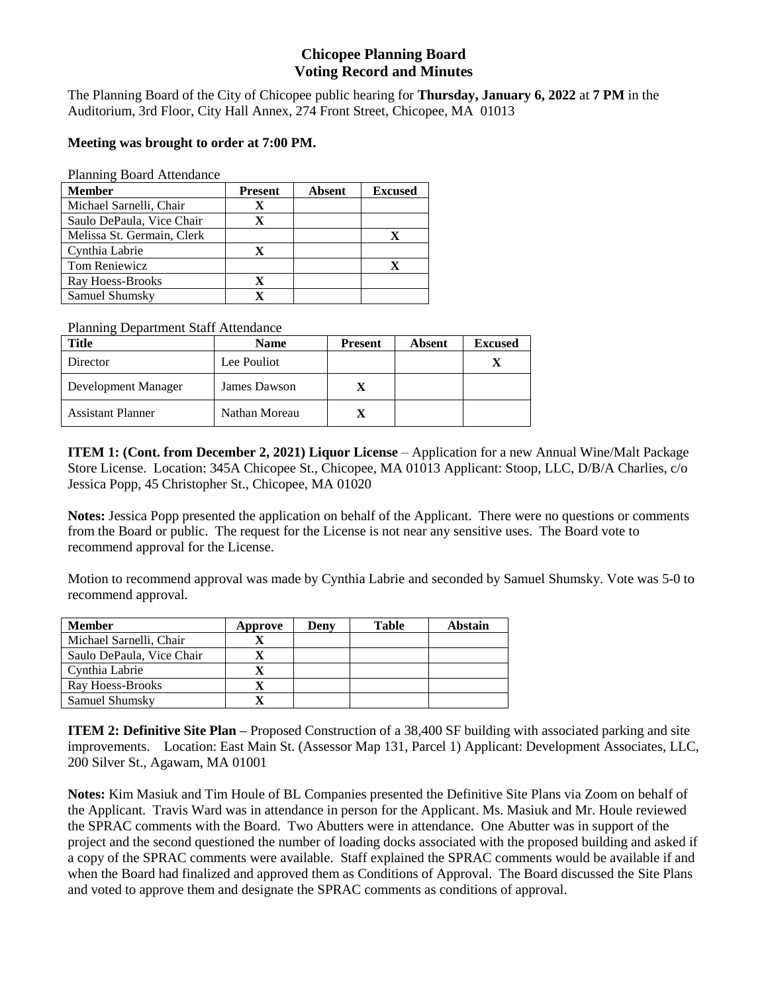# **Chicopee Planning Board Voting Record and Minutes**

The Planning Board of the City of Chicopee public hearing for **Thursday, January 6, 2022** at **7 PM** in the Auditorium, 3rd Floor, City Hall Annex, 274 Front Street, Chicopee, MA 01013

## **Meeting was brought to order at 7:00 PM.**

Planning Board Attendance

| <b>Member</b>              | <b>Present</b> | <b>Absent</b> | <b>Excused</b> |
|----------------------------|----------------|---------------|----------------|
| Michael Sarnelli, Chair    | X              |               |                |
| Saulo DePaula, Vice Chair  | X              |               |                |
| Melissa St. Germain, Clerk |                |               |                |
| Cynthia Labrie             | X              |               |                |
| Tom Reniewicz              |                |               |                |
| Ray Hoess-Brooks           | X              |               |                |
| Samuel Shumsky             |                |               |                |

Planning Department Staff Attendance

| Title                    | <b>Name</b>   | <b>Present</b> | <b>Absent</b> | <b>Excused</b> |
|--------------------------|---------------|----------------|---------------|----------------|
| Director                 | Lee Pouliot   |                |               |                |
| Development Manager      | James Dawson  |                |               |                |
| <b>Assistant Planner</b> | Nathan Moreau |                |               |                |

**ITEM 1: (Cont. from December 2, 2021) Liquor License** – Application for a new Annual Wine/Malt Package Store License. Location: 345A Chicopee St., Chicopee, MA 01013 Applicant: Stoop, LLC, D/B/A Charlies, c/o Jessica Popp, 45 Christopher St., Chicopee, MA 01020

**Notes:** Jessica Popp presented the application on behalf of the Applicant. There were no questions or comments from the Board or public. The request for the License is not near any sensitive uses. The Board vote to recommend approval for the License.

Motion to recommend approval was made by Cynthia Labrie and seconded by Samuel Shumsky. Vote was 5-0 to recommend approval.

| <b>Member</b>             | Approve | Deny | Table | Abstain |
|---------------------------|---------|------|-------|---------|
| Michael Sarnelli, Chair   |         |      |       |         |
| Saulo DePaula, Vice Chair |         |      |       |         |
| Cynthia Labrie            |         |      |       |         |
| Ray Hoess-Brooks          |         |      |       |         |
| Samuel Shumsky            |         |      |       |         |

**ITEM 2: Definitive Site Plan –** Proposed Construction of a 38,400 SF building with associated parking and site improvements. Location: East Main St. (Assessor Map 131, Parcel 1) Applicant: Development Associates, LLC, 200 Silver St., Agawam, MA 01001

**Notes:** Kim Masiuk and Tim Houle of BL Companies presented the Definitive Site Plans via Zoom on behalf of the Applicant. Travis Ward was in attendance in person for the Applicant. Ms. Masiuk and Mr. Houle reviewed the SPRAC comments with the Board. Two Abutters were in attendance. One Abutter was in support of the project and the second questioned the number of loading docks associated with the proposed building and asked if a copy of the SPRAC comments were available. Staff explained the SPRAC comments would be available if and when the Board had finalized and approved them as Conditions of Approval. The Board discussed the Site Plans and voted to approve them and designate the SPRAC comments as conditions of approval.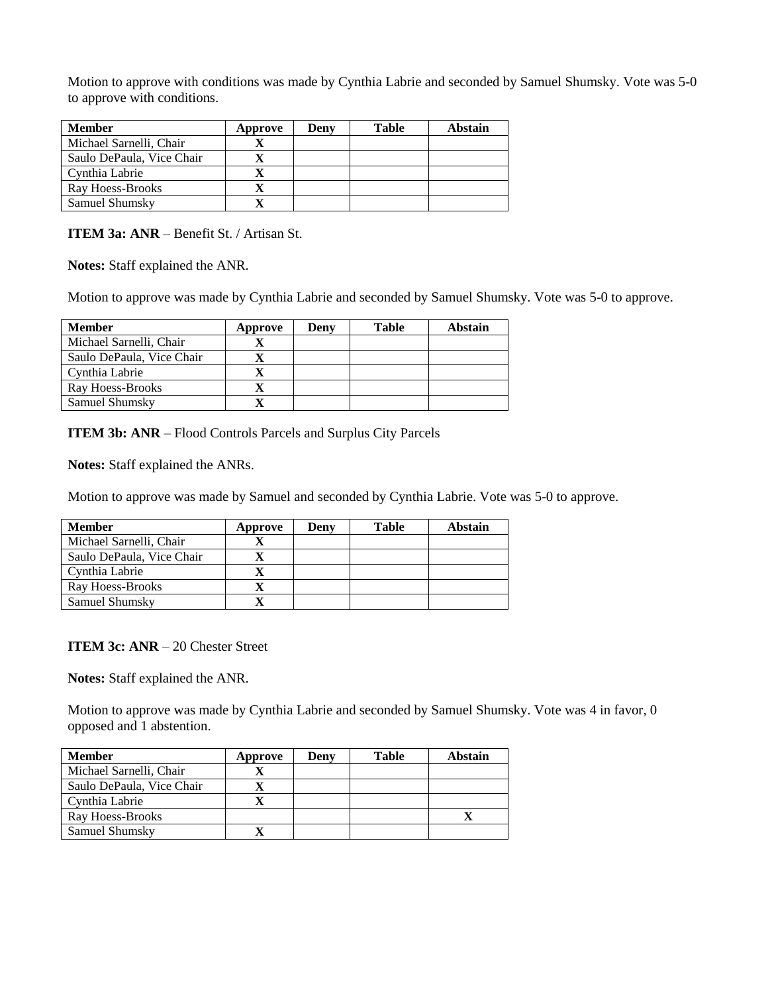Motion to approve with conditions was made by Cynthia Labrie and seconded by Samuel Shumsky. Vote was 5-0 to approve with conditions.

| <b>Member</b>             | Approve | Denv | Table | Abstain |
|---------------------------|---------|------|-------|---------|
| Michael Sarnelli, Chair   |         |      |       |         |
| Saulo DePaula, Vice Chair |         |      |       |         |
| Cynthia Labrie            |         |      |       |         |
| Ray Hoess-Brooks          |         |      |       |         |
| Samuel Shumsky            |         |      |       |         |

**ITEM 3a: ANR** – Benefit St. / Artisan St.

**Notes:** Staff explained the ANR.

Motion to approve was made by Cynthia Labrie and seconded by Samuel Shumsky. Vote was 5-0 to approve.

| <b>Member</b>             | Approve | Denv | <b>Table</b> | Abstain |
|---------------------------|---------|------|--------------|---------|
| Michael Sarnelli, Chair   |         |      |              |         |
| Saulo DePaula, Vice Chair |         |      |              |         |
| Cynthia Labrie            |         |      |              |         |
| Ray Hoess-Brooks          |         |      |              |         |
| Samuel Shumsky            |         |      |              |         |

**ITEM 3b: ANR** – Flood Controls Parcels and Surplus City Parcels

**Notes:** Staff explained the ANRs.

Motion to approve was made by Samuel and seconded by Cynthia Labrie. Vote was 5-0 to approve.

| <b>Member</b>             | Approve | Deny | <b>Table</b> | Abstain |
|---------------------------|---------|------|--------------|---------|
| Michael Sarnelli, Chair   |         |      |              |         |
| Saulo DePaula, Vice Chair |         |      |              |         |
| Cynthia Labrie            |         |      |              |         |
| Ray Hoess-Brooks          |         |      |              |         |
| Samuel Shumsky            |         |      |              |         |

**ITEM 3c: ANR** – 20 Chester Street

**Notes:** Staff explained the ANR.

Motion to approve was made by Cynthia Labrie and seconded by Samuel Shumsky. Vote was 4 in favor, 0 opposed and 1 abstention.

| <b>Member</b>             | Approve | Deny | Table | <b>Abstain</b> |
|---------------------------|---------|------|-------|----------------|
| Michael Sarnelli, Chair   |         |      |       |                |
| Saulo DePaula, Vice Chair |         |      |       |                |
| Cynthia Labrie            |         |      |       |                |
| Ray Hoess-Brooks          |         |      |       |                |
| Samuel Shumsky            |         |      |       |                |